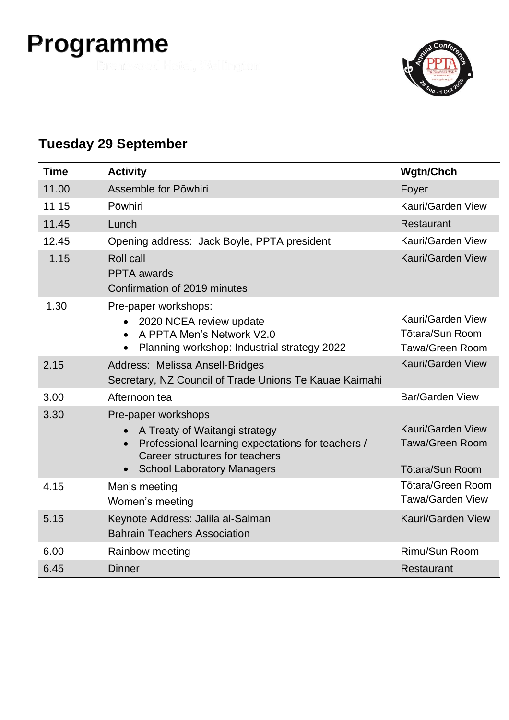## **Programme**



#### **Tuesday 29 September**

| Time  | <b>Activity</b>                                                                                                                                                                  | <b>Wgtn/Chch</b>                                                      |
|-------|----------------------------------------------------------------------------------------------------------------------------------------------------------------------------------|-----------------------------------------------------------------------|
| 11.00 | Assemble for Pōwhiri                                                                                                                                                             | Foyer                                                                 |
| 11 15 | Pōwhiri                                                                                                                                                                          | Kauri/Garden View                                                     |
| 11.45 | Lunch                                                                                                                                                                            | Restaurant                                                            |
| 12.45 | Opening address: Jack Boyle, PPTA president                                                                                                                                      | Kauri/Garden View                                                     |
| 1.15  | <b>Roll call</b><br><b>PPTA</b> awards<br>Confirmation of 2019 minutes                                                                                                           | Kauri/Garden View                                                     |
| 1.30  | Pre-paper workshops:<br>2020 NCEA review update<br>A PPTA Men's Network V2.0<br>$\bullet$<br>Planning workshop: Industrial strategy 2022                                         | Kauri/Garden View<br><b>Tōtara/Sun Room</b><br>Tawa/Green Room        |
| 2.15  | Address: Melissa Ansell-Bridges<br>Secretary, NZ Council of Trade Unions Te Kauae Kaimahi                                                                                        | Kauri/Garden View                                                     |
| 3.00  | Afternoon tea                                                                                                                                                                    | <b>Bar/Garden View</b>                                                |
| 3.30  | Pre-paper workshops<br>A Treaty of Waitangi strategy<br>Professional learning expectations for teachers /<br>Career structures for teachers<br><b>School Laboratory Managers</b> | Kauri/Garden View<br><b>Tawa/Green Room</b><br><b>Tōtara/Sun Room</b> |
| 4.15  | Men's meeting<br>Women's meeting                                                                                                                                                 | <b>Tōtara/Green Room</b><br><b>Tawa/Garden View</b>                   |
| 5.15  | Keynote Address: Jalila al-Salman<br><b>Bahrain Teachers Association</b>                                                                                                         | Kauri/Garden View                                                     |
| 6.00  | Rainbow meeting                                                                                                                                                                  | Rimu/Sun Room                                                         |
| 6.45  | <b>Dinner</b>                                                                                                                                                                    | Restaurant                                                            |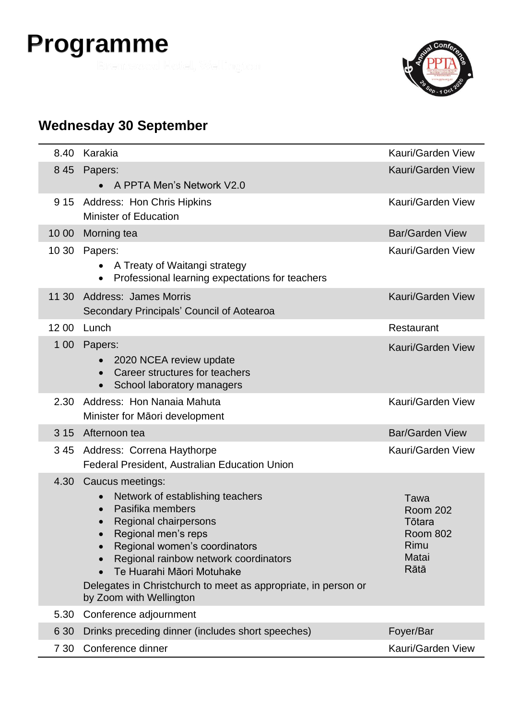# **Programme**



### **Wednesday 30 September**

| 8.40  | Karakia                                                                                                                                                                                                                                                                                                                                   | Kauri/Garden View                                                             |
|-------|-------------------------------------------------------------------------------------------------------------------------------------------------------------------------------------------------------------------------------------------------------------------------------------------------------------------------------------------|-------------------------------------------------------------------------------|
| 8 4 5 | Papers:<br>A PPTA Men's Network V2.0<br>$\bullet$                                                                                                                                                                                                                                                                                         | Kauri/Garden View                                                             |
| 9 15  | Address: Hon Chris Hipkins<br><b>Minister of Education</b>                                                                                                                                                                                                                                                                                | Kauri/Garden View                                                             |
| 10 00 | Morning tea                                                                                                                                                                                                                                                                                                                               | <b>Bar/Garden View</b>                                                        |
| 10 30 | Papers:<br>A Treaty of Waitangi strategy<br>Professional learning expectations for teachers<br>$\bullet$                                                                                                                                                                                                                                  | Kauri/Garden View                                                             |
| 11 30 | <b>Address: James Morris</b><br>Secondary Principals' Council of Aotearoa                                                                                                                                                                                                                                                                 | <b>Kauri/Garden View</b>                                                      |
| 12 00 | Lunch                                                                                                                                                                                                                                                                                                                                     | Restaurant                                                                    |
| 1 0 0 | Papers:<br>2020 NCEA review update<br>Career structures for teachers<br>School laboratory managers<br>$\bullet$                                                                                                                                                                                                                           | Kauri/Garden View                                                             |
| 2.30  | Address: Hon Nanaia Mahuta<br>Minister for Māori development                                                                                                                                                                                                                                                                              | Kauri/Garden View                                                             |
| 3 1 5 | Afternoon tea                                                                                                                                                                                                                                                                                                                             | <b>Bar/Garden View</b>                                                        |
| 345   | Address: Correna Haythorpe<br>Federal President, Australian Education Union                                                                                                                                                                                                                                                               | Kauri/Garden View                                                             |
| 4.30  | Caucus meetings:<br>Network of establishing teachers<br>Pasifika members<br>Regional chairpersons<br>Regional men's reps<br>Regional women's coordinators<br>Regional rainbow network coordinators<br>Te Huarahi Māori Motuhake<br>$\bullet$<br>Delegates in Christchurch to meet as appropriate, in person or<br>by Zoom with Wellington | Tawa<br><b>Room 202</b><br>Tōtara<br><b>Room 802</b><br>Rimu<br>Matai<br>Rātā |
| 5.30  | Conference adjournment                                                                                                                                                                                                                                                                                                                    |                                                                               |
| 6 3 0 | Drinks preceding dinner (includes short speeches)                                                                                                                                                                                                                                                                                         | Foyer/Bar                                                                     |
| 7 30  | Conference dinner                                                                                                                                                                                                                                                                                                                         | Kauri/Garden View                                                             |